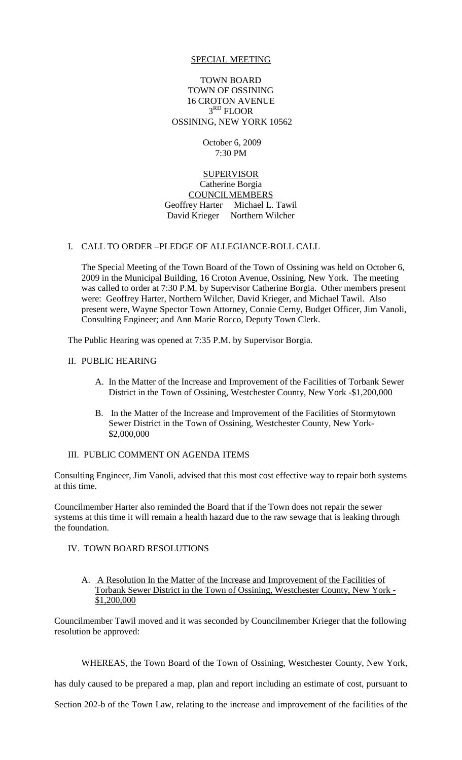# SPECIAL MEETING

TOWN BOARD TOWN OF OSSINING 16 CROTON AVENUE  $3<sup>RD</sup>$  FLOOR OSSINING, NEW YORK 10562

### October 6, 2009 7:30 PM

## SUPERVISOR Catherine Borgia COUNCILMEMBERS Geoffrey Harter Michael L. Tawil David Krieger Northern Wilcher

## I. CALL TO ORDER –PLEDGE OF ALLEGIANCE-ROLL CALL

The Special Meeting of the Town Board of the Town of Ossining was held on October 6, 2009 in the Municipal Building, 16 Croton Avenue, Ossining, New York. The meeting was called to order at 7:30 P.M. by Supervisor Catherine Borgia. Other members present were: Geoffrey Harter, Northern Wilcher, David Krieger, and Michael Tawil. Also present were, Wayne Spector Town Attorney, Connie Cerny, Budget Officer, Jim Vanoli, Consulting Engineer; and Ann Marie Rocco, Deputy Town Clerk.

The Public Hearing was opened at 7:35 P.M. by Supervisor Borgia.

## II. PUBLIC HEARING

- A. In the Matter of the Increase and Improvement of the Facilities of Torbank Sewer District in the Town of Ossining, Westchester County, New York -\$1,200,000
- B. In the Matter of the Increase and Improvement of the Facilities of Stormytown Sewer District in the Town of Ossining, Westchester County, New York- \$2,000,000

## III. PUBLIC COMMENT ON AGENDA ITEMS

Consulting Engineer, Jim Vanoli, advised that this most cost effective way to repair both systems at this time.

Councilmember Harter also reminded the Board that if the Town does not repair the sewer systems at this time it will remain a health hazard due to the raw sewage that is leaking through the foundation.

## IV. TOWN BOARD RESOLUTIONS

A. A Resolution In the Matter of the Increase and Improvement of the Facilities of Torbank Sewer District in the Town of Ossining, Westchester County, New York - \$1,200,000

Councilmember Tawil moved and it was seconded by Councilmember Krieger that the following resolution be approved:

WHEREAS, the Town Board of the Town of Ossining, Westchester County, New York,

has duly caused to be prepared a map, plan and report including an estimate of cost, pursuant to

Section 202-b of the Town Law, relating to the increase and improvement of the facilities of the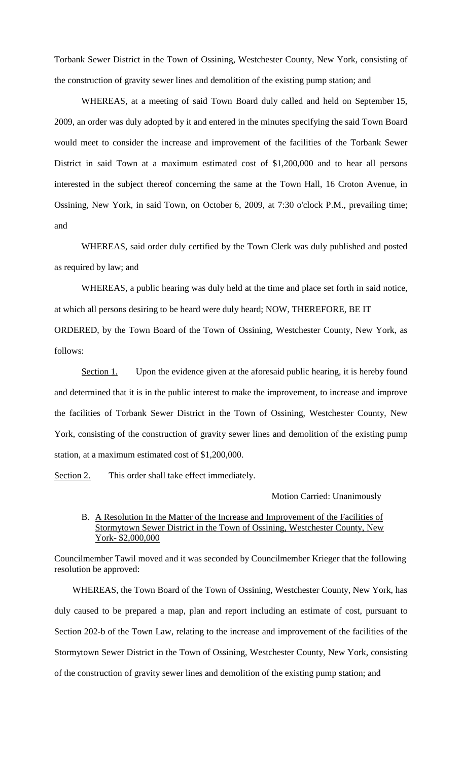Torbank Sewer District in the Town of Ossining, Westchester County, New York, consisting of the construction of gravity sewer lines and demolition of the existing pump station; and

WHEREAS, at a meeting of said Town Board duly called and held on September 15, 2009, an order was duly adopted by it and entered in the minutes specifying the said Town Board would meet to consider the increase and improvement of the facilities of the Torbank Sewer District in said Town at a maximum estimated cost of \$1,200,000 and to hear all persons interested in the subject thereof concerning the same at the Town Hall, 16 Croton Avenue, in Ossining, New York, in said Town, on October 6, 2009, at 7:30 o'clock P.M., prevailing time; and

WHEREAS, said order duly certified by the Town Clerk was duly published and posted as required by law; and

WHEREAS, a public hearing was duly held at the time and place set forth in said notice, at which all persons desiring to be heard were duly heard; NOW, THEREFORE, BE IT ORDERED, by the Town Board of the Town of Ossining, Westchester County, New York, as follows:

Section 1. Upon the evidence given at the aforesaid public hearing, it is hereby found and determined that it is in the public interest to make the improvement, to increase and improve the facilities of Torbank Sewer District in the Town of Ossining, Westchester County, New York, consisting of the construction of gravity sewer lines and demolition of the existing pump station, at a maximum estimated cost of \$1,200,000.

Section 2. This order shall take effect immediately.

### Motion Carried: Unanimously

## B. A Resolution In the Matter of the Increase and Improvement of the Facilities of Stormytown Sewer District in the Town of Ossining, Westchester County, New York- \$2,000,000

Councilmember Tawil moved and it was seconded by Councilmember Krieger that the following resolution be approved:

 WHEREAS, the Town Board of the Town of Ossining, Westchester County, New York, has duly caused to be prepared a map, plan and report including an estimate of cost, pursuant to Section 202-b of the Town Law, relating to the increase and improvement of the facilities of the Stormytown Sewer District in the Town of Ossining, Westchester County, New York, consisting of the construction of gravity sewer lines and demolition of the existing pump station; and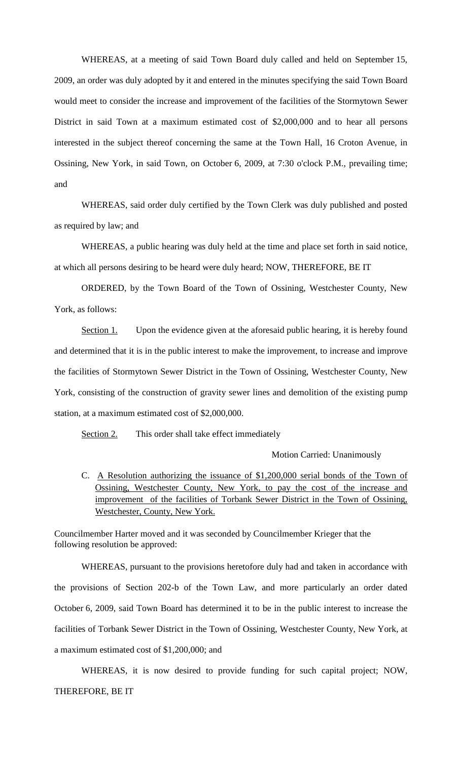WHEREAS, at a meeting of said Town Board duly called and held on September 15, 2009, an order was duly adopted by it and entered in the minutes specifying the said Town Board would meet to consider the increase and improvement of the facilities of the Stormytown Sewer District in said Town at a maximum estimated cost of \$2,000,000 and to hear all persons interested in the subject thereof concerning the same at the Town Hall, 16 Croton Avenue, in Ossining, New York, in said Town, on October 6, 2009, at 7:30 o'clock P.M., prevailing time; and

WHEREAS, said order duly certified by the Town Clerk was duly published and posted as required by law; and

WHEREAS, a public hearing was duly held at the time and place set forth in said notice, at which all persons desiring to be heard were duly heard; NOW, THEREFORE, BE IT

ORDERED, by the Town Board of the Town of Ossining, Westchester County, New York, as follows:

Section 1. Upon the evidence given at the aforesaid public hearing, it is hereby found and determined that it is in the public interest to make the improvement, to increase and improve the facilities of Stormytown Sewer District in the Town of Ossining, Westchester County, New York, consisting of the construction of gravity sewer lines and demolition of the existing pump station, at a maximum estimated cost of \$2,000,000.

Section 2. This order shall take effect immediately

#### Motion Carried: Unanimously

C. A Resolution authorizing the issuance of \$1,200,000 serial bonds of the Town of Ossining, Westchester County, New York, to pay the cost of the increase and improvement of the facilities of Torbank Sewer District in the Town of Ossining, Westchester, County, New York.

Councilmember Harter moved and it was seconded by Councilmember Krieger that the following resolution be approved:

WHEREAS, pursuant to the provisions heretofore duly had and taken in accordance with the provisions of Section 202-b of the Town Law, and more particularly an order dated October 6, 2009, said Town Board has determined it to be in the public interest to increase the facilities of Torbank Sewer District in the Town of Ossining, Westchester County, New York, at a maximum estimated cost of \$1,200,000; and

WHEREAS, it is now desired to provide funding for such capital project; NOW, THEREFORE, BE IT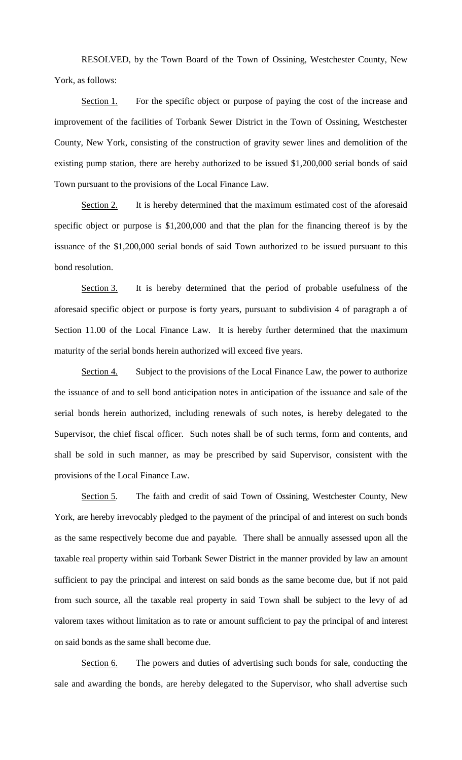RESOLVED, by the Town Board of the Town of Ossining, Westchester County, New York, as follows:

Section 1. For the specific object or purpose of paying the cost of the increase and improvement of the facilities of Torbank Sewer District in the Town of Ossining, Westchester County, New York, consisting of the construction of gravity sewer lines and demolition of the existing pump station, there are hereby authorized to be issued \$1,200,000 serial bonds of said Town pursuant to the provisions of the Local Finance Law.

Section 2. It is hereby determined that the maximum estimated cost of the aforesaid specific object or purpose is \$1,200,000 and that the plan for the financing thereof is by the issuance of the \$1,200,000 serial bonds of said Town authorized to be issued pursuant to this bond resolution.

Section 3. It is hereby determined that the period of probable usefulness of the aforesaid specific object or purpose is forty years, pursuant to subdivision 4 of paragraph a of Section 11.00 of the Local Finance Law. It is hereby further determined that the maximum maturity of the serial bonds herein authorized will exceed five years.

Section 4. Subject to the provisions of the Local Finance Law, the power to authorize the issuance of and to sell bond anticipation notes in anticipation of the issuance and sale of the serial bonds herein authorized, including renewals of such notes, is hereby delegated to the Supervisor, the chief fiscal officer. Such notes shall be of such terms, form and contents, and shall be sold in such manner, as may be prescribed by said Supervisor, consistent with the provisions of the Local Finance Law.

Section 5. The faith and credit of said Town of Ossining, Westchester County, New York, are hereby irrevocably pledged to the payment of the principal of and interest on such bonds as the same respectively become due and payable. There shall be annually assessed upon all the taxable real property within said Torbank Sewer District in the manner provided by law an amount sufficient to pay the principal and interest on said bonds as the same become due, but if not paid from such source, all the taxable real property in said Town shall be subject to the levy of ad valorem taxes without limitation as to rate or amount sufficient to pay the principal of and interest on said bonds as the same shall become due.

Section 6. The powers and duties of advertising such bonds for sale, conducting the sale and awarding the bonds, are hereby delegated to the Supervisor, who shall advertise such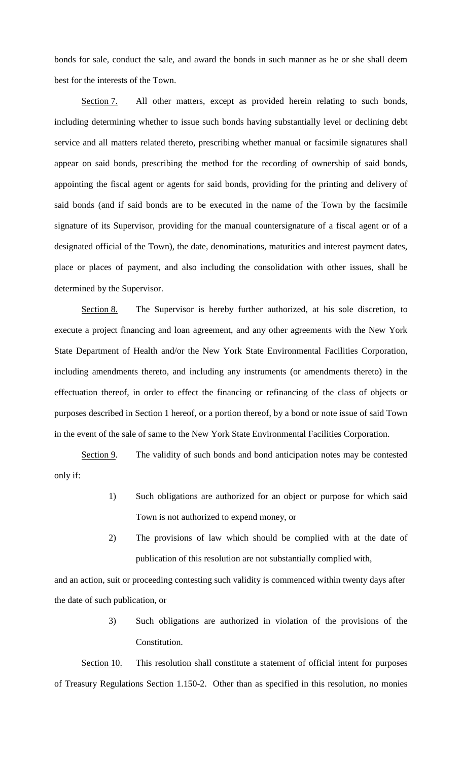bonds for sale, conduct the sale, and award the bonds in such manner as he or she shall deem best for the interests of the Town.

Section 7. All other matters, except as provided herein relating to such bonds, including determining whether to issue such bonds having substantially level or declining debt service and all matters related thereto, prescribing whether manual or facsimile signatures shall appear on said bonds, prescribing the method for the recording of ownership of said bonds, appointing the fiscal agent or agents for said bonds, providing for the printing and delivery of said bonds (and if said bonds are to be executed in the name of the Town by the facsimile signature of its Supervisor, providing for the manual countersignature of a fiscal agent or of a designated official of the Town), the date, denominations, maturities and interest payment dates, place or places of payment, and also including the consolidation with other issues, shall be determined by the Supervisor.

Section 8. The Supervisor is hereby further authorized, at his sole discretion, to execute a project financing and loan agreement, and any other agreements with the New York State Department of Health and/or the New York State Environmental Facilities Corporation, including amendments thereto, and including any instruments (or amendments thereto) in the effectuation thereof, in order to effect the financing or refinancing of the class of objects or purposes described in Section 1 hereof, or a portion thereof, by a bond or note issue of said Town in the event of the sale of same to the New York State Environmental Facilities Corporation.

Section 9. . The validity of such bonds and bond anticipation notes may be contested only if:

- 1) Such obligations are authorized for an object or purpose for which said Town is not authorized to expend money, or
- 2) The provisions of law which should be complied with at the date of publication of this resolution are not substantially complied with,

and an action, suit or proceeding contesting such validity is commenced within twenty days after the date of such publication, or

> 3) Such obligations are authorized in violation of the provisions of the Constitution.

Section 10. This resolution shall constitute a statement of official intent for purposes of Treasury Regulations Section 1.150-2. Other than as specified in this resolution, no monies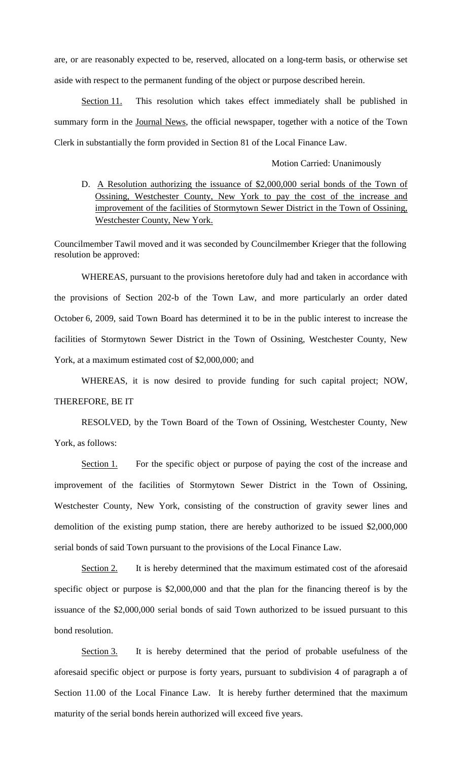are, or are reasonably expected to be, reserved, allocated on a long-term basis, or otherwise set aside with respect to the permanent funding of the object or purpose described herein.

Section 11. This resolution which takes effect immediately shall be published in summary form in the **Journal News**, the official newspaper, together with a notice of the Town Clerk in substantially the form provided in Section 81 of the Local Finance Law.

#### Motion Carried: Unanimously

D. A Resolution authorizing the issuance of \$2,000,000 serial bonds of the Town of Ossining, Westchester County, New York to pay the cost of the increase and improvement of the facilities of Stormytown Sewer District in the Town of Ossining, Westchester County, New York.

Councilmember Tawil moved and it was seconded by Councilmember Krieger that the following resolution be approved:

WHEREAS, pursuant to the provisions heretofore duly had and taken in accordance with the provisions of Section 202-b of the Town Law, and more particularly an order dated October 6, 2009, said Town Board has determined it to be in the public interest to increase the facilities of Stormytown Sewer District in the Town of Ossining, Westchester County, New York, at a maximum estimated cost of \$2,000,000; and

WHEREAS, it is now desired to provide funding for such capital project; NOW, THEREFORE, BE IT

RESOLVED, by the Town Board of the Town of Ossining, Westchester County, New York, as follows:

Section 1. For the specific object or purpose of paying the cost of the increase and improvement of the facilities of Stormytown Sewer District in the Town of Ossining, Westchester County, New York, consisting of the construction of gravity sewer lines and demolition of the existing pump station, there are hereby authorized to be issued \$2,000,000 serial bonds of said Town pursuant to the provisions of the Local Finance Law.

Section 2. It is hereby determined that the maximum estimated cost of the aforesaid specific object or purpose is \$2,000,000 and that the plan for the financing thereof is by the issuance of the \$2,000,000 serial bonds of said Town authorized to be issued pursuant to this bond resolution.

Section 3. It is hereby determined that the period of probable usefulness of the aforesaid specific object or purpose is forty years, pursuant to subdivision 4 of paragraph a of Section 11.00 of the Local Finance Law. It is hereby further determined that the maximum maturity of the serial bonds herein authorized will exceed five years.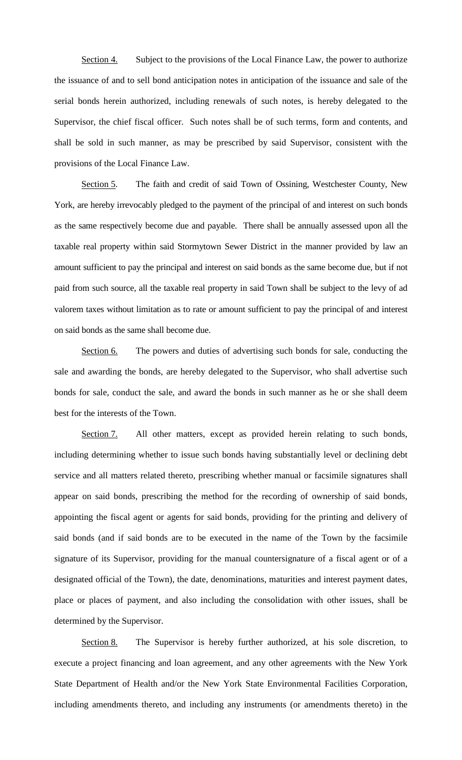Section 4. Subject to the provisions of the Local Finance Law, the power to authorize the issuance of and to sell bond anticipation notes in anticipation of the issuance and sale of the serial bonds herein authorized, including renewals of such notes, is hereby delegated to the Supervisor, the chief fiscal officer. Such notes shall be of such terms, form and contents, and shall be sold in such manner, as may be prescribed by said Supervisor, consistent with the provisions of the Local Finance Law.

Section 5. The faith and credit of said Town of Ossining, Westchester County, New York, are hereby irrevocably pledged to the payment of the principal of and interest on such bonds as the same respectively become due and payable. There shall be annually assessed upon all the taxable real property within said Stormytown Sewer District in the manner provided by law an amount sufficient to pay the principal and interest on said bonds as the same become due, but if not paid from such source, all the taxable real property in said Town shall be subject to the levy of ad valorem taxes without limitation as to rate or amount sufficient to pay the principal of and interest on said bonds as the same shall become due.

Section 6. The powers and duties of advertising such bonds for sale, conducting the sale and awarding the bonds, are hereby delegated to the Supervisor, who shall advertise such bonds for sale, conduct the sale, and award the bonds in such manner as he or she shall deem best for the interests of the Town.

Section 7. All other matters, except as provided herein relating to such bonds, including determining whether to issue such bonds having substantially level or declining debt service and all matters related thereto, prescribing whether manual or facsimile signatures shall appear on said bonds, prescribing the method for the recording of ownership of said bonds, appointing the fiscal agent or agents for said bonds, providing for the printing and delivery of said bonds (and if said bonds are to be executed in the name of the Town by the facsimile signature of its Supervisor, providing for the manual countersignature of a fiscal agent or of a designated official of the Town), the date, denominations, maturities and interest payment dates, place or places of payment, and also including the consolidation with other issues, shall be determined by the Supervisor.

Section 8. The Supervisor is hereby further authorized, at his sole discretion, to execute a project financing and loan agreement, and any other agreements with the New York State Department of Health and/or the New York State Environmental Facilities Corporation, including amendments thereto, and including any instruments (or amendments thereto) in the